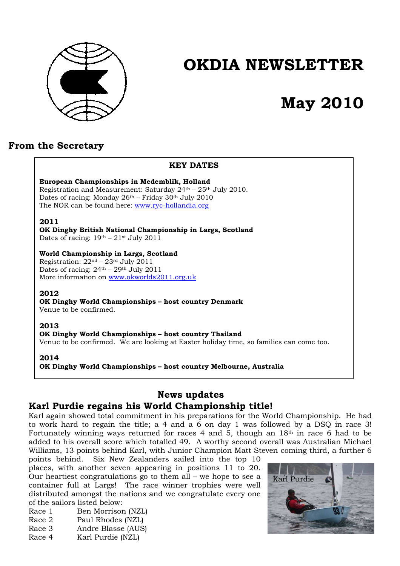

# **OKDIA NEWSLETTER**

# **May 2010**

# **From the Secretary**

## **KEY DATES**

# **European Championships in Medemblik, Holland**

Registration and Measurement: Saturday  $24<sup>th</sup> - 25<sup>th</sup>$  July 2010. Dates of racing: Monday  $26<sup>th</sup>$  – Friday  $30<sup>th</sup>$  July  $2010$ The NOR can be found here: www.ryc-hollandia.org

#### **2011**

**OK Dinghy British National Championship in Largs, Scotland**  Dates of racing:  $19<sup>th</sup> - 21<sup>st</sup>$  July 2011

### **World Championship in Largs, Scotland**

Registration:  $22<sup>nd</sup> - 23<sup>rd</sup>$  July 2011 Dates of racing: 24th – 29th July 2011 More information on www.okworlds2011.org.uk

## **2012**

**OK Dinghy World Championships – host country Denmark**  Venue to be confirmed.

## **2013**

**OK Dinghy World Championships – host country Thailand**  Venue to be confirmed. We are looking at Easter holiday time, so families can come too.

#### **2014**

**OK Dinghy World Championships – host country Melbourne, Australia** 

# **News updates Karl Purdie regains his World Championship title!**

Karl again showed total commitment in his preparations for the World Championship. He had to work hard to regain the title; a 4 and a 6 on day 1 was followed by a DSQ in race 3! Fortunately winning ways returned for races 4 and 5, though an  $18<sup>th</sup>$  in race 6 had to be added to his overall score which totalled 49. A worthy second overall was Australian Michael Williams, 13 points behind Karl, with Junior Champion Matt Steven coming third, a further 6

points behind. Six New Zealanders sailed into the top 10 places, with another seven appearing in positions 11 to 20. Our heartiest congratulations go to them all – we hope to see a container full at Largs! The race winner trophies were well distributed amongst the nations and we congratulate every one of the sailors listed below:

- Race 1 Ben Morrison (NZL)
- Race 2 Paul Rhodes (NZL)
- Race 3 Andre Blasse (AUS)
- Race 4 Karl Purdie (NZL)

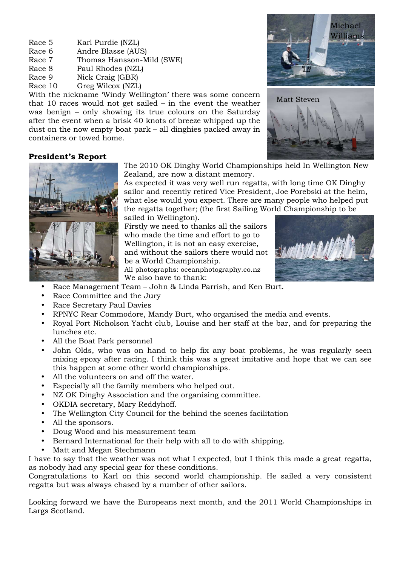- Race 5 Karl Purdie (NZL)
- Race 6 Andre Blasse (AUS)
- Race 7 Thomas Hansson-Mild (SWE)
- Race 8 Paul Rhodes (NZL)
- Race 9 Nick Craig (GBR)
- Race 10 Greg Wilcox (NZL)

With the nickname 'Windy Wellington' there was some concern that 10 races would not get sailed – in the event the weather was benign – only showing its true colours on the Saturday after the event when a brisk 40 knots of breeze whipped up the dust on the now empty boat park – all dinghies packed away in containers or towed home.





## **President's Report**



The 2010 OK Dinghy World Championships held In Wellington New Zealand, are now a distant memory.

As expected it was very well run regatta, with long time OK Dinghy sailor and recently retired Vice President, Joe Porebski at the helm, what else would you expect. There are many people who helped put the regatta together; (the first Sailing World Championship to be sailed in Wellington).

Firstly we need to thanks all the sailors who made the time and effort to go to Wellington, it is not an easy exercise, and without the sailors there would not be a World Championship. All photographs: oceanphotography.co.nz

We also have to thank:



- Race Management Team John & Linda Parrish, and Ken Burt.
- Race Committee and the Jury
- Race Secretary Paul Davies
- RPNYC Rear Commodore, Mandy Burt, who organised the media and events.
- Royal Port Nicholson Yacht club, Louise and her staff at the bar, and for preparing the lunches etc.
- All the Boat Park personnel
- John Olds, who was on hand to help fix any boat problems, he was regularly seen mixing epoxy after racing. I think this was a great imitative and hope that we can see this happen at some other world championships.
- All the volunteers on and off the water.
- Especially all the family members who helped out.
- NZ OK Dinghy Association and the organising committee.
- OKDIA secretary, Mary Reddyhoff.
- The Wellington City Council for the behind the scenes facilitation
- All the sponsors.
- Doug Wood and his measurement team
- Bernard International for their help with all to do with shipping.
- Matt and Megan Stechmann

I have to say that the weather was not what I expected, but I think this made a great regatta, as nobody had any special gear for these conditions.

Congratulations to Karl on this second world championship. He sailed a very consistent regatta but was always chased by a number of other sailors.

Looking forward we have the Europeans next month, and the 2011 World Championships in Largs Scotland.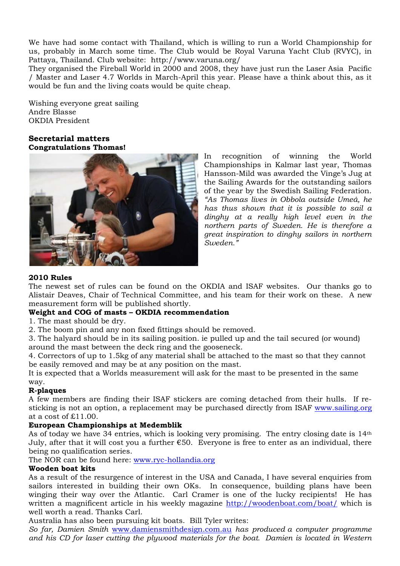We have had some contact with Thailand, which is willing to run a World Championship for us, probably in March some time. The Club would be Royal Varuna Yacht Club (RVYC), in Pattaya, Thailand. Club website: http://www.varuna.org/

They organised the Fireball World in 2000 and 2008, they have just run the Laser Asia Pacific / Master and Laser 4.7 Worlds in March-April this year. Please have a think about this, as it would be fun and the living coats would be quite cheap.

Wishing everyone great sailing Andre Blasse OKDIA President

# **Secretarial matters Congratulations Thomas!**



In recognition of winning the World Championships in Kalmar last year, Thomas Hansson-Mild was awarded the Vinge's Jug at the Sailing Awards for the outstanding sailors of the year by the Swedish Sailing Federation. *"As Thomas lives in Obbola outside Umeå, he has thus shown that it is possible to sail a dinghy at a really high level even in the northern parts of Sweden. He is therefore a great inspiration to dinghy sailors in northern Sweden."*

## **2010 Rules**

The newest set of rules can be found on the OKDIA and ISAF websites. Our thanks go to Alistair Deaves, Chair of Technical Committee, and his team for their work on these. A new measurement form will be published shortly.

# **Weight and COG of masts – OKDIA recommendation**

1. The mast should be dry.

2. The boom pin and any non fixed fittings should be removed.

3. The halyard should be in its sailing position. ie pulled up and the tail secured (or wound) around the mast between the deck ring and the gooseneck.

4. Correctors of up to 1.5kg of any material shall be attached to the mast so that they cannot be easily removed and may be at any position on the mast.

It is expected that a Worlds measurement will ask for the mast to be presented in the same way.

## **R-plaques**

A few members are finding their ISAF stickers are coming detached from their hulls. If resticking is not an option, a replacement may be purchased directly from ISAF www.sailing.org at a cost of £11.00.

## **European Championships at Medemblik**

As of today we have 34 entries, which is looking very promising. The entry closing date is 14th July, after that it will cost you a further  $\epsilon$ 50. Everyone is free to enter as an individual, there being no qualification series.

The NOR can be found here: www.ryc-hollandia.org

## **Wooden boat kits**

As a result of the resurgence of interest in the USA and Canada, I have several enquiries from sailors interested in building their own OKs. In consequence, building plans have been winging their way over the Atlantic. Carl Cramer is one of the lucky recipients! He has written a magnificent article in his weekly magazine http://woodenboat.com/boat/ which is well worth a read. Thanks Carl.

Australia has also been pursuing kit boats. Bill Tyler writes:

*So far, Damien Smith* www.damiensmithdesign.com.au *has produced a computer programme and his CD for laser cutting the plywood materials for the boat. Damien is located in Western*